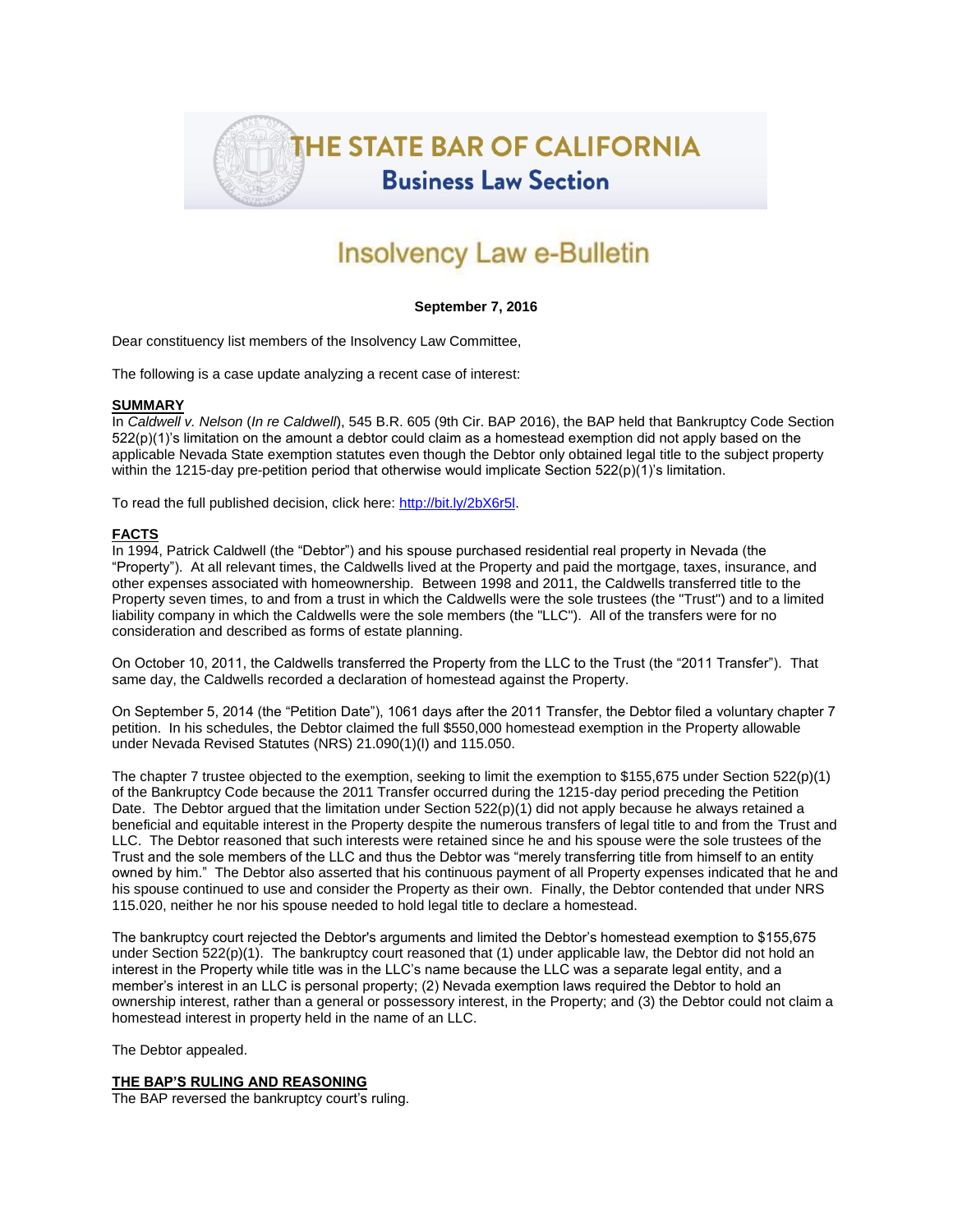

# Insolvency Law e-Bulletin

## **September 7, 2016**

Dear constituency list members of the Insolvency Law Committee,

The following is a case update analyzing a recent case of interest:

#### **SUMMARY**

In *Caldwell v. Nelson* (*In re Caldwell*), 545 B.R. 605 (9th Cir. BAP 2016), the BAP held that Bankruptcy Code Section 522(p)(1)'s limitation on the amount a debtor could claim as a homestead exemption did not apply based on the applicable Nevada State exemption statutes even though the Debtor only obtained legal title to the subject property within the 1215-day pre-petition period that otherwise would implicate Section 522(p)(1)'s limitation.

To read the full published decision, click here[: http://bit.ly/2bX6r5l.](http://bit.ly/2bX6r5l)

## **FACTS**

In 1994, Patrick Caldwell (the "Debtor") and his spouse purchased residential real property in Nevada (the "Property"). At all relevant times, the Caldwells lived at the Property and paid the mortgage, taxes, insurance, and other expenses associated with homeownership. Between 1998 and 2011, the Caldwells transferred title to the Property seven times, to and from a trust in which the Caldwells were the sole trustees (the "Trust") and to a limited liability company in which the Caldwells were the sole members (the "LLC"). All of the transfers were for no consideration and described as forms of estate planning.

On October 10, 2011, the Caldwells transferred the Property from the LLC to the Trust (the "2011 Transfer"). That same day, the Caldwells recorded a declaration of homestead against the Property.

On September 5, 2014 (the "Petition Date"), 1061 days after the 2011 Transfer, the Debtor filed a voluntary chapter 7 petition. In his schedules, the Debtor claimed the full \$550,000 homestead exemption in the Property allowable under Nevada Revised Statutes (NRS) 21.090(1)(I) and 115.050.

The chapter 7 trustee objected to the exemption, seeking to limit the exemption to \$155,675 under Section 522(p)(1) of the Bankruptcy Code because the 2011 Transfer occurred during the 1215-day period preceding the Petition Date. The Debtor argued that the limitation under Section 522(p)(1) did not apply because he always retained a beneficial and equitable interest in the Property despite the numerous transfers of legal title to and from the Trust and LLC. The Debtor reasoned that such interests were retained since he and his spouse were the sole trustees of the Trust and the sole members of the LLC and thus the Debtor was "merely transferring title from himself to an entity owned by him." The Debtor also asserted that his continuous payment of all Property expenses indicated that he and his spouse continued to use and consider the Property as their own. Finally, the Debtor contended that under NRS 115.020, neither he nor his spouse needed to hold legal title to declare a homestead.

The bankruptcy court rejected the Debtor's arguments and limited the Debtor's homestead exemption to \$155,675 under Section 522(p)(1). The bankruptcy court reasoned that (1) under applicable law, the Debtor did not hold an interest in the Property while title was in the LLC's name because the LLC was a separate legal entity, and a member's interest in an LLC is personal property; (2) Nevada exemption laws required the Debtor to hold an ownership interest, rather than a general or possessory interest, in the Property; and (3) the Debtor could not claim a homestead interest in property held in the name of an LLC.

The Debtor appealed.

#### **THE BAP'S RULING AND REASONING**

The BAP reversed the bankruptcy court's ruling.